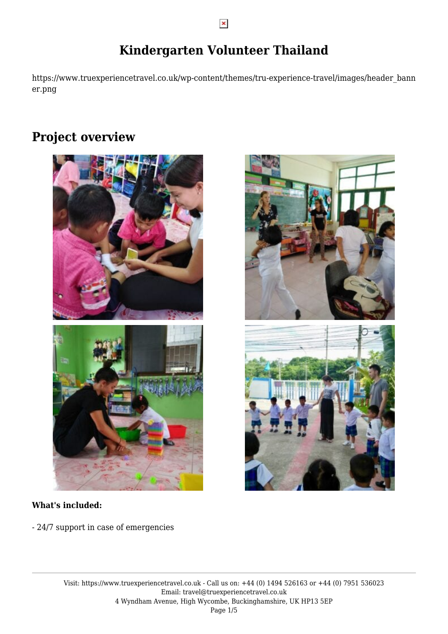# **Kindergarten Volunteer Thailand**

https://www.truexperiencetravel.co.uk/wp-content/themes/tru-experience-travel/images/header\_bann er.png

# **Project overview**



### **What's included:**

- 24/7 support in case of emergencies

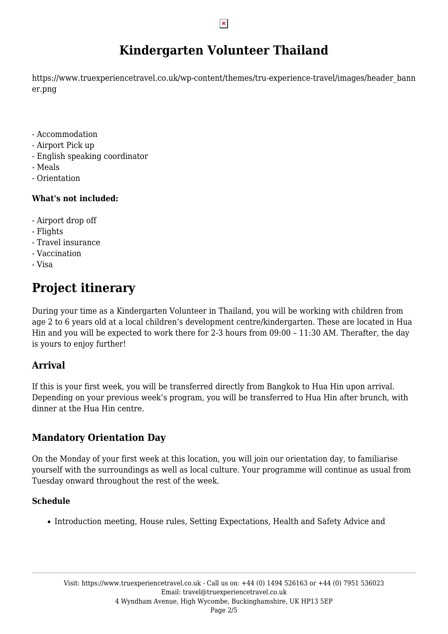# **Kindergarten Volunteer Thailand**

https://www.truexperiencetravel.co.uk/wp-content/themes/tru-experience-travel/images/header\_bann er.png

- Accommodation
- Airport Pick up
- English speaking coordinator
- Meals
- Orientation

### **What's not included:**

- Airport drop off
- Flights
- Travel insurance
- Vaccination
- Visa

# **Project itinerary**

During your time as a Kindergarten Volunteer in Thailand, you will be working with children from age 2 to 6 years old at a local children's development centre/kindergarten. These are located in Hua Hin and you will be expected to work there for 2-3 hours from 09:00 – 11:30 AM. Therafter, the day is yours to enjoy further!

### **Arrival**

If this is your first week, you will be transferred directly from Bangkok to Hua Hin upon arrival. Depending on your previous week's program, you will be transferred to Hua Hin after brunch, with dinner at the Hua Hin centre.

### **Mandatory Orientation Day**

On the Monday of your first week at this location, you will join our orientation day, to familiarise yourself with the surroundings as well as local culture. Your programme will continue as usual from Tuesday onward throughout the rest of the week.

### **Schedule**

• Introduction meeting, House rules, Setting Expectations, Health and Safety Advice and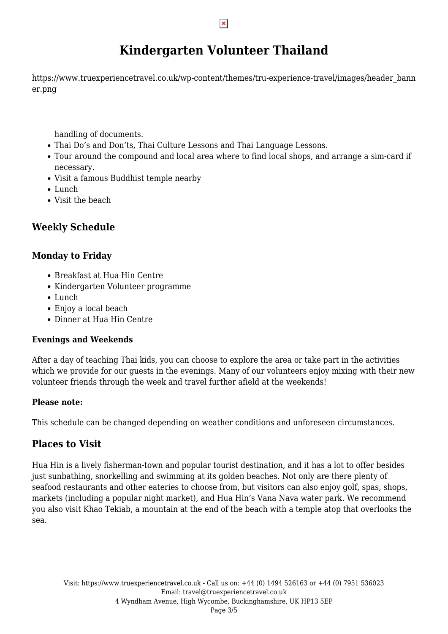# **Kindergarten Volunteer Thailand**

https://www.truexperiencetravel.co.uk/wp-content/themes/tru-experience-travel/images/header\_bann er.png

handling of documents.

- Thai Do's and Don'ts, Thai Culture Lessons and Thai Language Lessons.
- Tour around the compound and local area where to find local shops, and arrange a sim-card if necessary.
- Visit a famous Buddhist temple nearby
- Lunch
- Visit the beach

### **Weekly Schedule**

### **Monday to Friday**

- Breakfast at Hua Hin Centre
- Kindergarten Volunteer programme
- Lunch
- Enjoy a local beach
- Dinner at Hua Hin Centre

### **Evenings and Weekends**

After a day of teaching Thai kids, you can choose to explore the area or take part in the activities which we provide for our quests in the evenings. Many of our volunteers enjoy mixing with their new volunteer friends through the week and travel further afield at the weekends!

### **Please note:**

This schedule can be changed depending on weather conditions and unforeseen circumstances.

### **Places to Visit**

Hua Hin is a lively fisherman-town and popular tourist destination, and it has a lot to offer besides just sunbathing, snorkelling and swimming at its golden beaches. Not only are there plenty of seafood restaurants and other eateries to choose from, but visitors can also enjoy golf, spas, shops, markets (including a popular night market), and Hua Hin's Vana Nava water park. We recommend you also visit Khao Tekiab, a mountain at the end of the beach with a temple atop that overlooks the sea.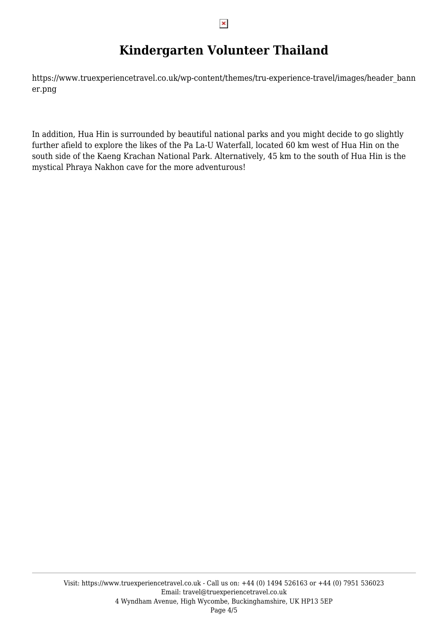# **Kindergarten Volunteer Thailand**

https://www.truexperiencetravel.co.uk/wp-content/themes/tru-experience-travel/images/header\_bann er.png

In addition, Hua Hin is surrounded by beautiful national parks and you might decide to go slightly further afield to explore the likes of the Pa La-U Waterfall, located 60 km west of Hua Hin on the south side of the Kaeng Krachan National Park. Alternatively, 45 km to the south of Hua Hin is the mystical Phraya Nakhon cave for the more adventurous!